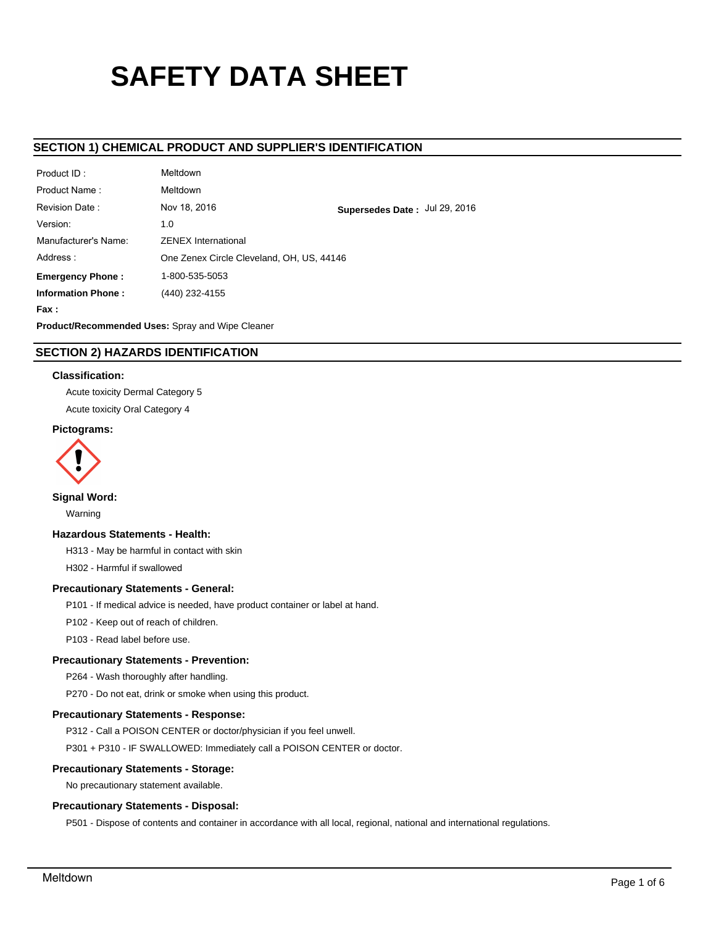# **SAFETY DATA SHEET**

# **SECTION 1) CHEMICAL PRODUCT AND SUPPLIER'S IDENTIFICATION**

| Product ID:               | Meltdown                                  |                               |
|---------------------------|-------------------------------------------|-------------------------------|
| Product Name:             | <b>Meltdown</b>                           |                               |
| Revision Date:            | Nov 18, 2016                              | Supersedes Date: Jul 29, 2016 |
| Version:                  | 1.0                                       |                               |
| Manufacturer's Name:      | <b>ZENEX International</b>                |                               |
| Address:                  | One Zenex Circle Cleveland, OH, US, 44146 |                               |
| <b>Emergency Phone:</b>   | 1-800-535-5053                            |                               |
| <b>Information Phone:</b> | (440) 232-4155                            |                               |
| Fax :                     |                                           |                               |
|                           |                                           |                               |

**Product/Recommended Uses:** Spray and Wipe Cleaner

# **SECTION 2) HAZARDS IDENTIFICATION**

## **Classification:**

Acute toxicity Dermal Category 5

Acute toxicity Oral Category 4

## **Pictograms:**



**Signal Word:**

Warning

## **Hazardous Statements - Health:**

H313 - May be harmful in contact with skin

H302 - Harmful if swallowed

## **Precautionary Statements - General:**

P101 - If medical advice is needed, have product container or label at hand.

P102 - Keep out of reach of children.

P103 - Read label before use.

#### **Precautionary Statements - Prevention:**

P264 - Wash thoroughly after handling.

P270 - Do not eat, drink or smoke when using this product.

#### **Precautionary Statements - Response:**

P312 - Call a POISON CENTER or doctor/physician if you feel unwell.

P301 + P310 - IF SWALLOWED: Immediately call a POISON CENTER or doctor.

## **Precautionary Statements - Storage:**

No precautionary statement available.

#### **Precautionary Statements - Disposal:**

P501 - Dispose of contents and container in accordance with all local, regional, national and international regulations.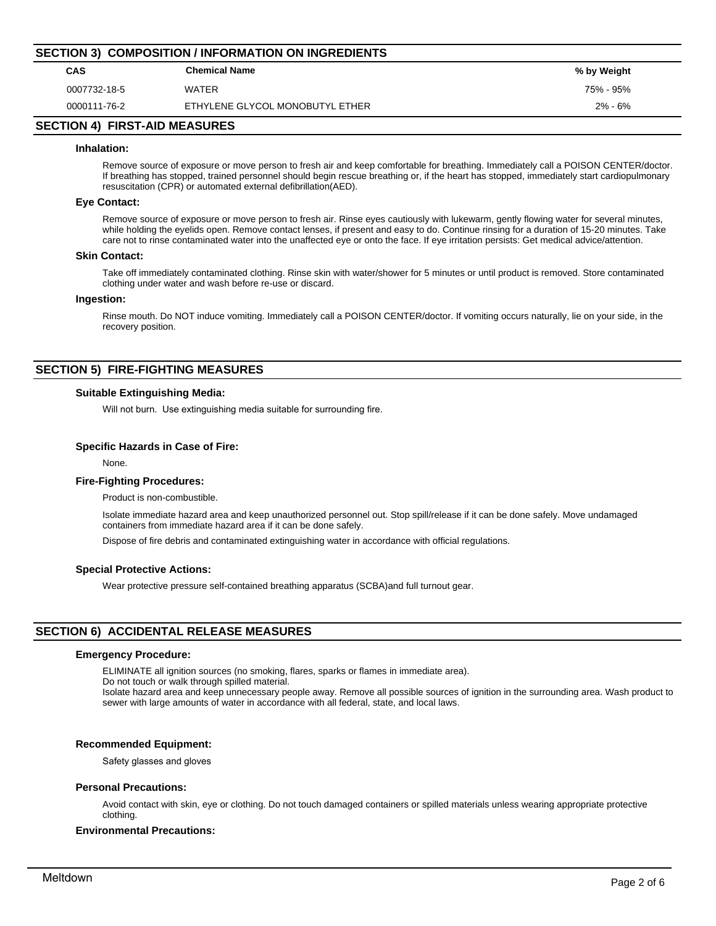| <b>SECTION 3) COMPOSITION / INFORMATION ON INGREDIENTS</b> |                                 |             |  |  |  |
|------------------------------------------------------------|---------------------------------|-------------|--|--|--|
| CAS                                                        | <b>Chemical Name</b>            | % by Weight |  |  |  |
| 0007732-18-5                                               | WATER                           | 75% - 95%   |  |  |  |
| 0000111-76-2                                               | ETHYLENE GLYCOL MONOBUTYL ETHER | $2\% - 6\%$ |  |  |  |

## **SECTION 4) FIRST-AID MEASURES**

#### **Inhalation:**

Remove source of exposure or move person to fresh air and keep comfortable for breathing. Immediately call a POISON CENTER/doctor. If breathing has stopped, trained personnel should begin rescue breathing or, if the heart has stopped, immediately start cardiopulmonary resuscitation (CPR) or automated external defibrillation(AED).

#### **Eye Contact:**

Remove source of exposure or move person to fresh air. Rinse eyes cautiously with lukewarm, gently flowing water for several minutes, while holding the eyelids open. Remove contact lenses, if present and easy to do. Continue rinsing for a duration of 15-20 minutes. Take care not to rinse contaminated water into the unaffected eye or onto the face. If eye irritation persists: Get medical advice/attention.

#### **Skin Contact:**

Take off immediately contaminated clothing. Rinse skin with water/shower for 5 minutes or until product is removed. Store contaminated clothing under water and wash before re-use or discard.

#### **Ingestion:**

Rinse mouth. Do NOT induce vomiting. Immediately call a POISON CENTER/doctor. If vomiting occurs naturally, lie on your side, in the recovery position.

## **SECTION 5) FIRE-FIGHTING MEASURES**

#### **Suitable Extinguishing Media:**

Will not burn. Use extinguishing media suitable for surrounding fire.

#### **Specific Hazards in Case of Fire:**

None.

### **Fire-Fighting Procedures:**

Product is non-combustible.

Isolate immediate hazard area and keep unauthorized personnel out. Stop spill/release if it can be done safely. Move undamaged containers from immediate hazard area if it can be done safely.

Dispose of fire debris and contaminated extinguishing water in accordance with official regulations.

#### **Special Protective Actions:**

Wear protective pressure self-contained breathing apparatus (SCBA)and full turnout gear.

## **SECTION 6) ACCIDENTAL RELEASE MEASURES**

#### **Emergency Procedure:**

ELIMINATE all ignition sources (no smoking, flares, sparks or flames in immediate area).

Do not touch or walk through spilled material.

Isolate hazard area and keep unnecessary people away. Remove all possible sources of ignition in the surrounding area. Wash product to sewer with large amounts of water in accordance with all federal, state, and local laws.

#### **Recommended Equipment:**

Safety glasses and gloves

#### **Personal Precautions:**

Avoid contact with skin, eye or clothing. Do not touch damaged containers or spilled materials unless wearing appropriate protective clothing.

## **Environmental Precautions:**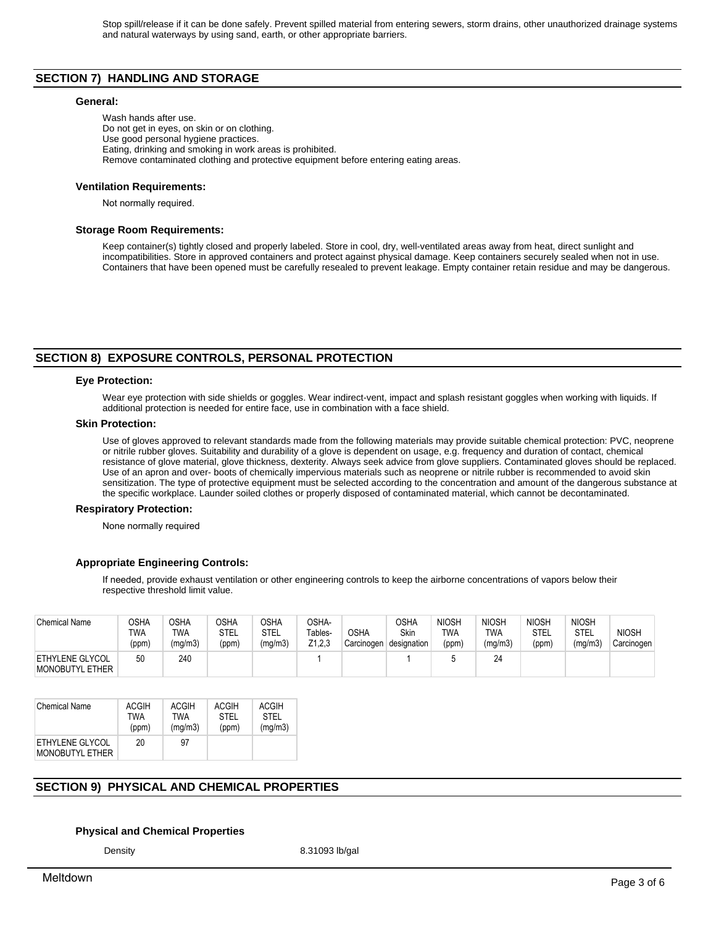# **SECTION 7) HANDLING AND STORAGE**

#### **General:**

Wash hands after use. Do not get in eyes, on skin or on clothing. Use good personal hygiene practices. Eating, drinking and smoking in work areas is prohibited. Remove contaminated clothing and protective equipment before entering eating areas.

#### **Ventilation Requirements:**

Not normally required.

#### **Storage Room Requirements:**

Keep container(s) tightly closed and properly labeled. Store in cool, dry, well-ventilated areas away from heat, direct sunlight and incompatibilities. Store in approved containers and protect against physical damage. Keep containers securely sealed when not in use. Containers that have been opened must be carefully resealed to prevent leakage. Empty container retain residue and may be dangerous.

## **SECTION 8) EXPOSURE CONTROLS, PERSONAL PROTECTION**

#### **Eye Protection:**

Wear eye protection with side shields or goggles. Wear indirect-vent, impact and splash resistant goggles when working with liquids. If additional protection is needed for entire face, use in combination with a face shield.

#### **Skin Protection:**

Use of gloves approved to relevant standards made from the following materials may provide suitable chemical protection: PVC, neoprene or nitrile rubber gloves. Suitability and durability of a glove is dependent on usage, e.g. frequency and duration of contact, chemical resistance of glove material, glove thickness, dexterity. Always seek advice from glove suppliers. Contaminated gloves should be replaced. Use of an apron and over- boots of chemically impervious materials such as neoprene or nitrile rubber is recommended to avoid skin sensitization. The type of protective equipment must be selected according to the concentration and amount of the dangerous substance at the specific workplace. Launder soiled clothes or properly disposed of contaminated material, which cannot be decontaminated.

#### **Respiratory Protection:**

None normally required

#### **Appropriate Engineering Controls:**

If needed, provide exhaust ventilation or other engineering controls to keep the airborne concentrations of vapors below their respective threshold limit value.

| <b>Chemical Name</b>                             | OSHA<br>TWA<br>(ppm) | OSHA<br><b>TWA</b><br>(mg/m3) | <b>OSHA</b><br><b>STEL</b><br>(ppm) | つSHA<br>STEL<br>(mg/m3) | OSHA-<br>Tables-<br>Z1.2.3 | <b>OSHA</b><br>Carcinogen | OSHA<br><b>Skin</b><br>designation | <b>NIOSH</b><br>twa<br>(ppm) | <b>NIOSH</b><br>TWA<br>(mg/m3) | <b>NIOSH</b><br>STEL<br>(ppm) | <b>NIOSH</b><br>STEL<br>(mg/m3) | <b>NIOSH</b><br>Carcinogen |
|--------------------------------------------------|----------------------|-------------------------------|-------------------------------------|-------------------------|----------------------------|---------------------------|------------------------------------|------------------------------|--------------------------------|-------------------------------|---------------------------------|----------------------------|
| <b>ETHYLENE GLYCOL</b><br><b>MONOBUTYL ETHER</b> | 50                   | 240                           |                                     |                         |                            |                           |                                    |                              | 24                             |                               |                                 |                            |

| <b>Chemical Name</b>                      | <b>ACGIH</b> | ACGIH   | ACGIH | ACGIH   |
|-------------------------------------------|--------------|---------|-------|---------|
|                                           | TWA          | TWA     | STFI  | STFI    |
|                                           | (ppm)        | (mq/m3) | (ppm) | (mg/m3) |
| ETHYLENE GLYCOL<br><b>MONOBUTYL ETHER</b> | 20           | 97      |       |         |

# **SECTION 9) PHYSICAL AND CHEMICAL PROPERTIES**

#### **Physical and Chemical Properties**

Density 8.31093 lb/gal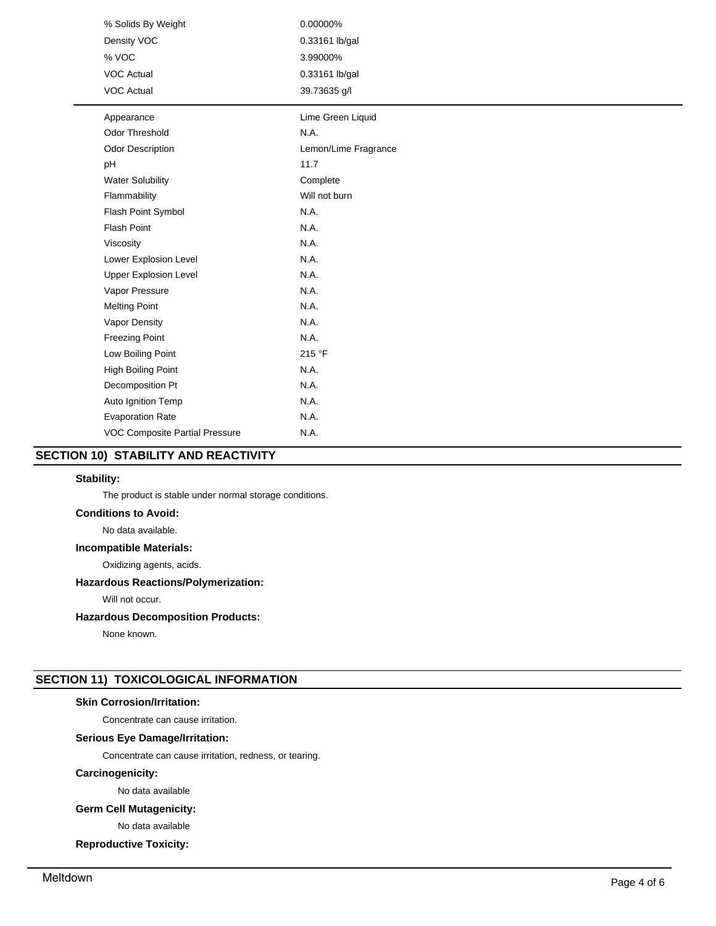| % Solids By Weight             | 0.00000%             |
|--------------------------------|----------------------|
| Density VOC                    | 0.33161 lb/gal       |
| % VOC                          | 3.99000%             |
| <b>VOC Actual</b>              | 0.33161 lb/gal       |
| <b>VOC Actual</b>              | 39.73635 g/l         |
| Appearance                     | Lime Green Liquid    |
| Odor Threshold                 | N.A.                 |
| Odor Description               | Lemon/Lime Fragrance |
| pH                             | 11.7                 |
| <b>Water Solubility</b>        | Complete             |
| Flammability                   | Will not burn        |
| Flash Point Symbol             | N.A.                 |
| <b>Flash Point</b>             | N.A.                 |
| Viscosity                      | N.A.                 |
| Lower Explosion Level          | N.A.                 |
| <b>Upper Explosion Level</b>   | N.A.                 |
| Vapor Pressure                 | N.A.                 |
| <b>Melting Point</b>           | N.A.                 |
| Vapor Density                  | N.A.                 |
| <b>Freezing Point</b>          | N.A.                 |
| Low Boiling Point              | 215 °F               |
| High Boiling Point             | N.A.                 |
| Decomposition Pt               | N.A.                 |
| Auto Ignition Temp             | N.A.                 |
| <b>Evaporation Rate</b>        | N.A.                 |
| VOC Composite Partial Pressure | N.A.                 |
|                                |                      |

# **SECTION 10) STABILITY AND REACTIVITY**

## **Stability:**

The product is stable under normal storage conditions.

## **Conditions to Avoid:**

No data available.

## **Incompatible Materials:**

Oxidizing agents, acids.

## **Hazardous Reactions/Polymerization:**

Will not occur.

## **Hazardous Decomposition Products:**

None known.

# **SECTION 11) TOXICOLOGICAL INFORMATION**

# **Skin Corrosion/Irritation:**

Concentrate can cause irritation.

## **Serious Eye Damage/Irritation:**

Concentrate can cause irritation, redness, or tearing.

## **Carcinogenicity:**

No data available

# **Germ Cell Mutagenicity:**

No data available

# **Reproductive Toxicity:**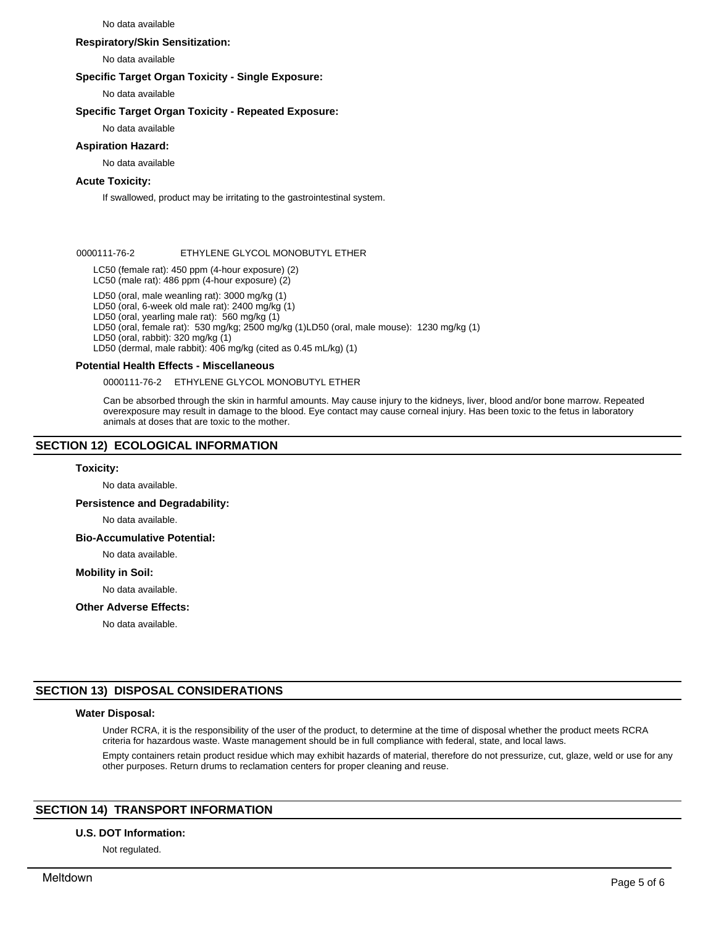#### No data available

## **Respiratory/Skin Sensitization:**

No data available

## **Specific Target Organ Toxicity - Single Exposure:**

No data available

## **Specific Target Organ Toxicity - Repeated Exposure:**

No data available

# **Aspiration Hazard:**

No data available

# **Acute Toxicity:**

If swallowed, product may be irritating to the gastrointestinal system.

## 0000111-76-2 ETHYLENE GLYCOL MONOBUTYL ETHER

LC50 (female rat): 450 ppm (4-hour exposure) (2) LC50 (male rat): 486 ppm (4-hour exposure) (2)

LD50 (oral, male weanling rat): 3000 mg/kg (1)

LD50 (oral, 6-week old male rat): 2400 mg/kg (1)

LD50 (oral, yearling male rat): 560 mg/kg (1)

LD50 (oral, female rat): 530 mg/kg; 2500 mg/kg (1)LD50 (oral, male mouse): 1230 mg/kg (1)

LD50 (oral, rabbit): 320 mg/kg (1)

LD50 (dermal, male rabbit): 406 mg/kg (cited as 0.45 mL/kg) (1)

# **Potential Health Effects - Miscellaneous**

0000111-76-2 ETHYLENE GLYCOL MONOBUTYL ETHER

Can be absorbed through the skin in harmful amounts. May cause injury to the kidneys, liver, blood and/or bone marrow. Repeated overexposure may result in damage to the blood. Eye contact may cause corneal injury. Has been toxic to the fetus in laboratory animals at doses that are toxic to the mother.

# **SECTION 12) ECOLOGICAL INFORMATION**

## **Toxicity:**

No data available.

## **Persistence and Degradability:**

No data available.

**Bio-Accumulative Potential:**

## No data available.

# **Mobility in Soil:**

No data available.

# **Other Adverse Effects:**

No data available.

# **SECTION 13) DISPOSAL CONSIDERATIONS**

# **Water Disposal:**

Under RCRA, it is the responsibility of the user of the product, to determine at the time of disposal whether the product meets RCRA criteria for hazardous waste. Waste management should be in full compliance with federal, state, and local laws.

Empty containers retain product residue which may exhibit hazards of material, therefore do not pressurize, cut, glaze, weld or use for any other purposes. Return drums to reclamation centers for proper cleaning and reuse.

# **SECTION 14) TRANSPORT INFORMATION**

# **U.S. DOT Information:**

Not regulated.